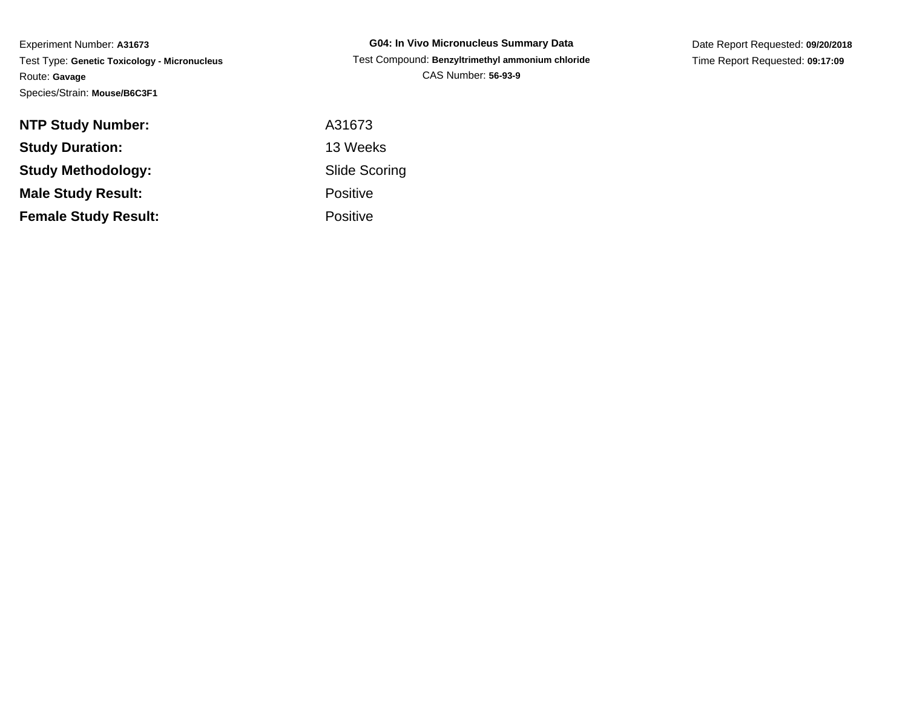Experiment Number: **A31673** Test Type: **Genetic Toxicology - Micronucleus**Route: **Gavage**Species/Strain: **Mouse/B6C3F1**

**G04: In Vivo Micronucleus Summary Data** Test Compound: **Benzyltrimethyl ammonium chloride**CAS Number: **56-93-9**

Date Report Requested: **09/20/2018**Time Report Requested: **09:17:09**

| <b>NTP Study Number:</b>    | A31673               |
|-----------------------------|----------------------|
| <b>Study Duration:</b>      | 13 Weeks             |
| <b>Study Methodology:</b>   | <b>Slide Scoring</b> |
| <b>Male Study Result:</b>   | <b>Positive</b>      |
| <b>Female Study Result:</b> | <b>Positive</b>      |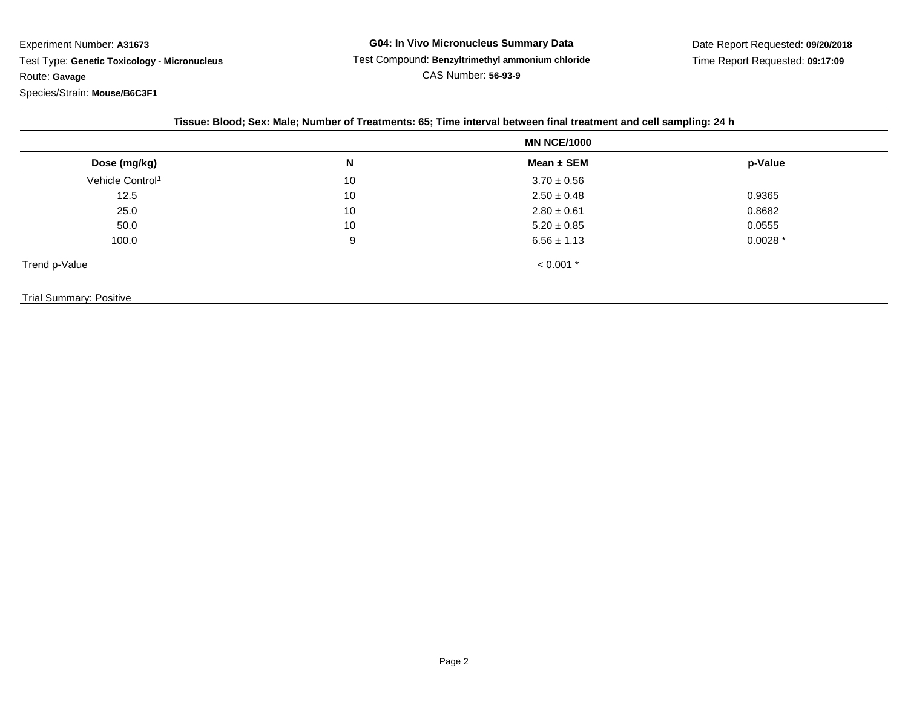Experiment Number: **A31673** Test Type: **Genetic Toxicology - Micronucleus**Route: **Gavage**Species/Strain: **Mouse/B6C3F1**

| Tissue: Blood; Sex: Male; Number of Treatments: 65; Time interval between final treatment and cell sampling: 24 h |                    |                 |           |  |
|-------------------------------------------------------------------------------------------------------------------|--------------------|-----------------|-----------|--|
|                                                                                                                   | <b>MN NCE/1000</b> |                 |           |  |
| Dose (mg/kg)                                                                                                      | N                  | Mean $\pm$ SEM  | p-Value   |  |
| Vehicle Control <sup>1</sup>                                                                                      | 10                 | $3.70 \pm 0.56$ |           |  |
| 12.5                                                                                                              | 10                 | $2.50 \pm 0.48$ | 0.9365    |  |
| 25.0                                                                                                              | 10                 | $2.80 \pm 0.61$ | 0.8682    |  |
| 50.0                                                                                                              | 10                 | $5.20 \pm 0.85$ | 0.0555    |  |
| 100.0                                                                                                             | 9                  | $6.56 \pm 1.13$ | $0.0028*$ |  |
| Trend p-Value                                                                                                     |                    | $< 0.001$ *     |           |  |
| <b>Trial Summary: Positive</b>                                                                                    |                    |                 |           |  |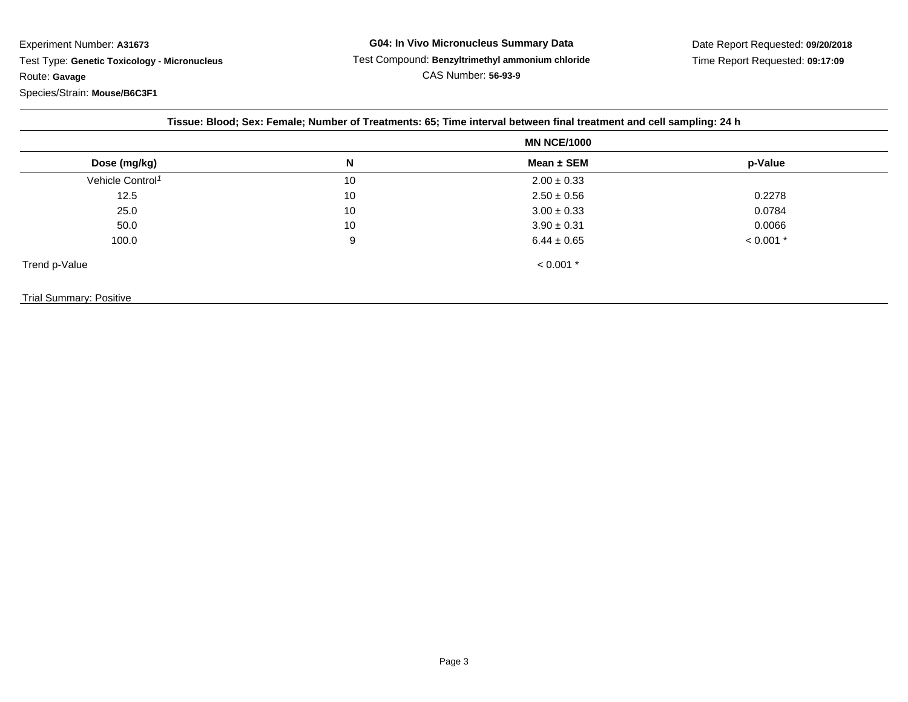Experiment Number: **A31673**Test Type: **Genetic Toxicology - Micronucleus**

Route: **Gavage**

Species/Strain: **Mouse/B6C3F1**

| Tissue: Blood; Sex: Female; Number of Treatments: 65; Time interval between final treatment and cell sampling: 24 h |                    |                 |             |  |  |
|---------------------------------------------------------------------------------------------------------------------|--------------------|-----------------|-------------|--|--|
|                                                                                                                     | <b>MN NCE/1000</b> |                 |             |  |  |
| Dose (mg/kg)                                                                                                        | N                  | Mean ± SEM      | p-Value     |  |  |
| Vehicle Control <sup>1</sup>                                                                                        | 10                 | $2.00 \pm 0.33$ |             |  |  |
| 12.5                                                                                                                | 10                 | $2.50 \pm 0.56$ | 0.2278      |  |  |
| 25.0                                                                                                                | 10                 | $3.00 \pm 0.33$ | 0.0784      |  |  |
| 50.0                                                                                                                | 10                 | $3.90 \pm 0.31$ | 0.0066      |  |  |
| 100.0                                                                                                               | 9                  | $6.44 \pm 0.65$ | $< 0.001$ * |  |  |
| Trend p-Value                                                                                                       |                    | $< 0.001$ *     |             |  |  |
| <b>Trial Summary: Positive</b>                                                                                      |                    |                 |             |  |  |